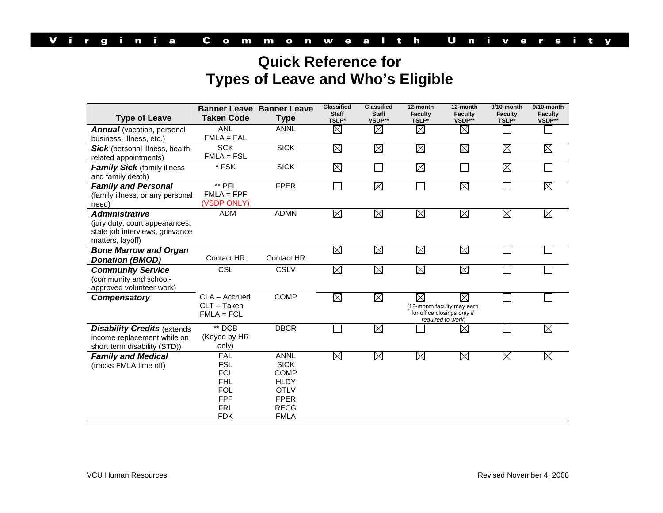## **Quick Reference for Types of Leave and Who's Eligible**

|                                        | <b>Banner Leave Banner Leave</b><br><b>Taken Code</b> |                   | <b>Classified</b><br><b>Staff</b> | <b>Classified</b><br><b>Staff</b> | 12-month<br><b>Faculty</b>                       | 12-month<br><b>Faculty</b> | 9/10-month<br><b>Faculty</b> | 9/10-month<br><b>Faculty</b> |  |  |
|----------------------------------------|-------------------------------------------------------|-------------------|-----------------------------------|-----------------------------------|--------------------------------------------------|----------------------------|------------------------------|------------------------------|--|--|
| <b>Type of Leave</b>                   |                                                       | <b>Type</b>       | TSLP*                             | VSDP**                            | TSLP*                                            | VSDP**                     | TSLP*                        | VSDP**                       |  |  |
| <b>Annual</b> (vacation, personal      | <b>ANL</b>                                            | <b>ANNL</b>       | $\boxtimes$                       | $\boxtimes$                       | $\boxtimes$                                      | $\boxtimes$                |                              |                              |  |  |
| business, illness, etc.)               | $FMLA = FAL$                                          |                   |                                   |                                   |                                                  |                            |                              |                              |  |  |
| <b>Sick</b> (personal illness, health- | <b>SCK</b>                                            | <b>SICK</b>       | $\boxtimes$                       | $\boxtimes$                       | $\boxtimes$                                      | $\boxtimes$                | $\boxtimes$                  | $\boxtimes$                  |  |  |
| related appointments)                  | $FMLA = FSL$                                          |                   |                                   |                                   |                                                  |                            |                              |                              |  |  |
| <b>Family Sick (family illness)</b>    | * FSK                                                 | <b>SICK</b>       | $\boxtimes$                       |                                   | $\boxtimes$                                      | $\overline{a}$             | $\boxtimes$                  |                              |  |  |
| and family death)                      |                                                       |                   |                                   |                                   |                                                  |                            |                              |                              |  |  |
| <b>Family and Personal</b>             | ** PFL                                                | <b>FPER</b>       |                                   | $\boxtimes$                       |                                                  | $\boxtimes$                |                              | $\boxtimes$                  |  |  |
| (family illness, or any personal       | $FMLA = FPF$                                          |                   |                                   |                                   |                                                  |                            |                              |                              |  |  |
| need)                                  | (VSDP ONLY)                                           |                   |                                   |                                   |                                                  |                            |                              |                              |  |  |
| <b>Administrative</b>                  | <b>ADM</b>                                            | <b>ADMN</b>       | $\boxtimes$                       | $\boxtimes$                       | $\boxtimes$                                      | $\boxtimes$                | $\boxtimes$                  | $\boxtimes$                  |  |  |
| (jury duty, court appearances,         |                                                       |                   |                                   |                                   |                                                  |                            |                              |                              |  |  |
| state job interviews, grievance        |                                                       |                   |                                   |                                   |                                                  |                            |                              |                              |  |  |
| matters, layoff)                       |                                                       |                   |                                   |                                   |                                                  |                            |                              |                              |  |  |
| <b>Bone Marrow and Organ</b>           |                                                       |                   | $\boxtimes$                       | $\boxtimes$                       | $\boxtimes$                                      | $\boxtimes$                |                              |                              |  |  |
| <b>Donation (BMOD)</b>                 | Contact HR                                            | <b>Contact HR</b> |                                   |                                   |                                                  |                            |                              |                              |  |  |
| <b>Community Service</b>               | <b>CSL</b>                                            | <b>CSLV</b>       | $\boxtimes$                       | $\boxtimes$                       | $\boxtimes$                                      | $\boxtimes$                |                              |                              |  |  |
| (community and school-                 |                                                       |                   |                                   |                                   |                                                  |                            |                              |                              |  |  |
| approved volunteer work)               |                                                       |                   |                                   |                                   |                                                  |                            |                              |                              |  |  |
| <b>Compensatory</b>                    | CLA - Accrued                                         | <b>COMP</b>       | $\boxtimes$                       | $\boxtimes$                       | $\boxtimes$                                      | $\boxtimes$                |                              |                              |  |  |
|                                        | CLT - Taken                                           |                   |                                   |                                   | (12-month faculty may earn                       |                            |                              |                              |  |  |
|                                        | $FMLA = FCL$                                          |                   |                                   |                                   | for office closings only if<br>required to work) |                            |                              |                              |  |  |
| <b>Disability Credits (extends</b>     | ** DCB                                                | <b>DBCR</b>       |                                   | $\boxtimes$                       |                                                  | $\boxtimes$                |                              | $\boxtimes$                  |  |  |
| income replacement while on            | (Keyed by HR                                          |                   |                                   |                                   |                                                  |                            |                              |                              |  |  |
| short-term disability (STD))           | only)                                                 |                   |                                   |                                   |                                                  |                            |                              |                              |  |  |
| <b>Family and Medical</b>              | <b>FAL</b>                                            | <b>ANNL</b>       | $\boxtimes$                       | $\boxtimes$                       | $\boxtimes$                                      | $\boxtimes$                | $\boxtimes$                  | $\boxtimes$                  |  |  |
| (tracks FMLA time off)                 | <b>FSL</b>                                            | <b>SICK</b>       |                                   |                                   |                                                  |                            |                              |                              |  |  |
|                                        | <b>FCL</b>                                            | <b>COMP</b>       |                                   |                                   |                                                  |                            |                              |                              |  |  |
|                                        | <b>FHL</b>                                            | <b>HLDY</b>       |                                   |                                   |                                                  |                            |                              |                              |  |  |
|                                        | <b>FOL</b>                                            | <b>OTLV</b>       |                                   |                                   |                                                  |                            |                              |                              |  |  |
|                                        | <b>FPF</b>                                            | <b>FPER</b>       |                                   |                                   |                                                  |                            |                              |                              |  |  |
|                                        | <b>FRL</b>                                            | <b>RECG</b>       |                                   |                                   |                                                  |                            |                              |                              |  |  |
|                                        | <b>FDK</b>                                            | <b>FMLA</b>       |                                   |                                   |                                                  |                            |                              |                              |  |  |